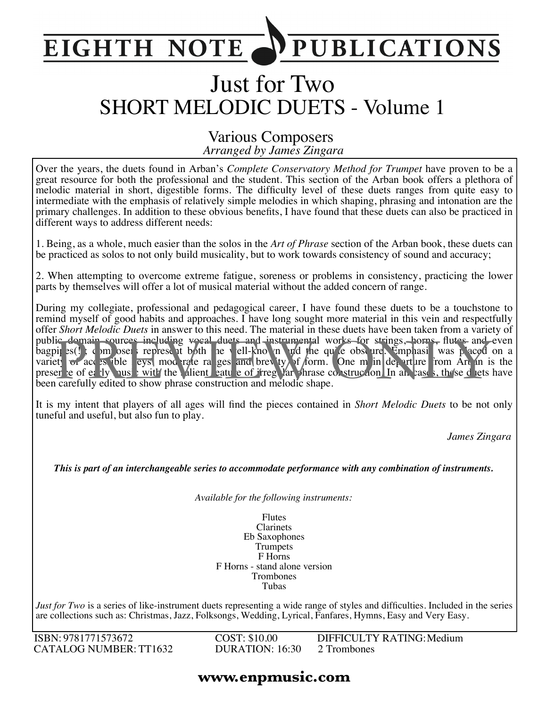## **PUBLICATIONS EIGHTH NOTE**

# Just for Two SHORT MELODIC DUETS - Volume 1

#### *Arranged by James Zingara* Various Composers

Over the years, the duets found in Arban's *Complete Conservatory Method for Trumpet* have proven to be a great resource for both the professional and the student. This section of the Arban book offers a plethora of melodic material in short, digestible forms. The difficulty level of these duets ranges from quite easy to intermediate with the emphasis of relatively simple melodies in which shaping, phrasing and intonation are the primary challenges. In addition to these obvious benefits, I have found that these duets can also be practiced in different ways to address different needs:

1. Being, as a whole, much easier than the solos in the *Art of Phrase* section of the Arban book, these duets can be practiced as solos to not only build musicality, but to work towards consistency of sound and accuracy;

2. When attempting to overcome extreme fatigue, soreness or problems in consistency, practicing the lower parts by themselves will offer a lot of musical material without the added concern of range.

During my collegiate, professional and pedagogical career, I have found these duets to be a touchstone to remind myself of good habits and approaches. I have long sought more material in this vein and respectfully offer *Short Melodic Duets* in answer to this need. The material in these duets have been taken from a variety of public domain sources including vocal duets and instrumental works for strings, horns, flutes and even bagpit s(!); composers represent both the well-known and the quite obscure. Emphasis was placed on a variety of access ible leys, moderate ranges and brevity of form. One main departure from Arban is the presence of early music with the salient eature of irregular phrase construction. In all cases, these duets have been carefully edited to show phrase construction and melodic shape. ic domain sources including woral duets and instrumental works for strings, horns, flutes and<br>pi es() composed represent both the vell-kno in and the qu'e obse ure. Emplassi was paced<br>et of acc es ible eys, mod rate ra ges

It is my intent that players of all ages will find the pieces contained in *Short Melodic Duets* to be not only tuneful and useful, but also fun to play.

*James Zingara*

*This is part of an interchangeable series to accommodate performance with any combination of instruments.*

*Available for the following instruments:*

Flutes Clarinets Eb Saxophones Trumpets F Horns F Horns - stand alone version Trombones Tubas

*Just for Two* is a series of like-instrument duets representing a wide range of styles and difficulties. Included in the series are collections such as: Christmas, Jazz, Folksongs, Wedding, Lyrical, Fanfares, Hymns, Easy and Very Easy.

ISBN: 9781771573672 CATALOG NUMBER: TT1632 COST: \$10.00 DURATION: 16:30 DIFFICULTY RATING:Medium 2 Trombones

#### **www.enpmusic.com**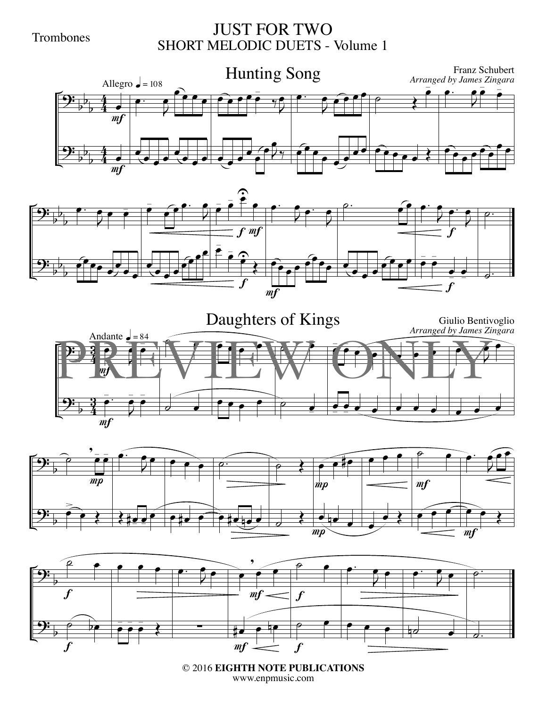Trombones

### JUST FOR TWO SHORT MELODIC DUETS - Volume 1











© 2016 **EIGHTH NOTE PUBLICATIONS** www.enpmusic.com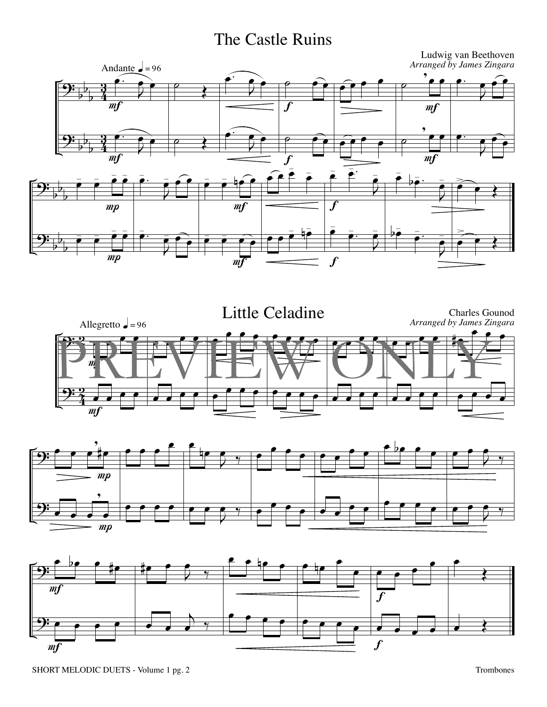## The Castle Ruins







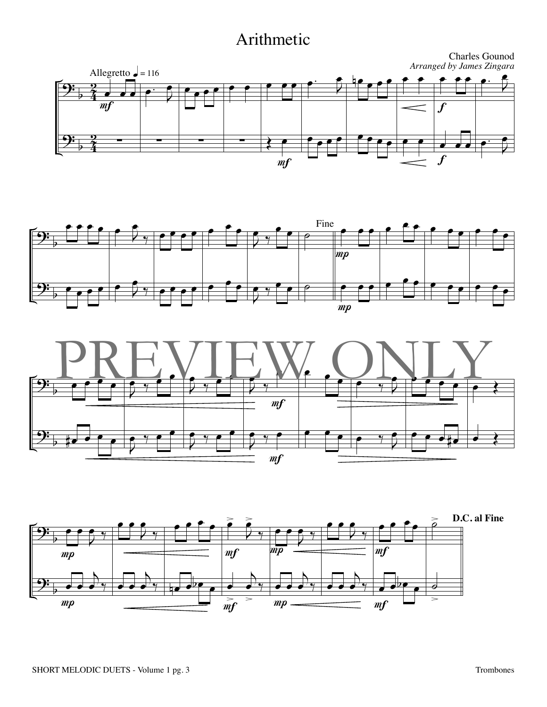## Arithmetic







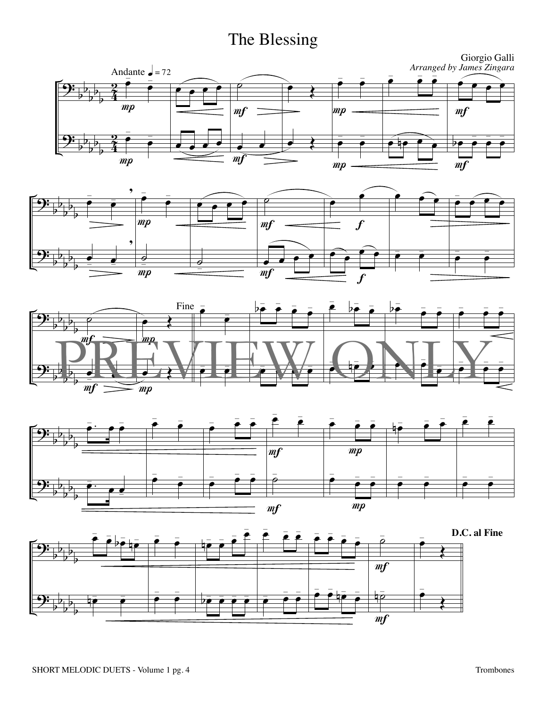## The Blessing









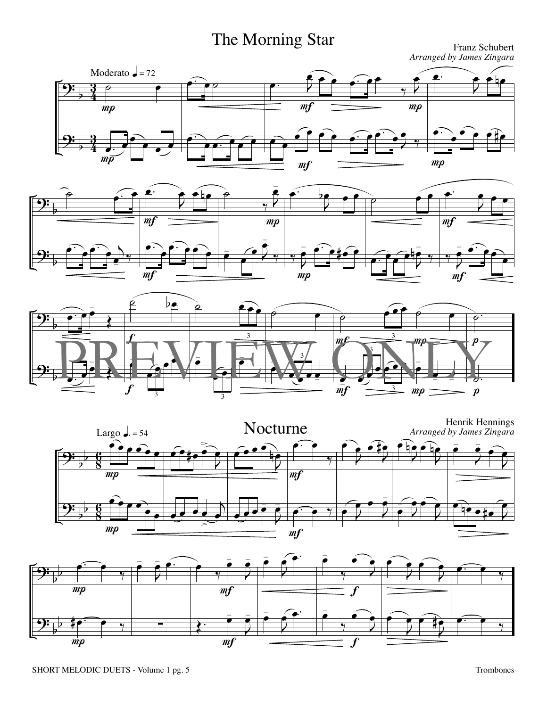# The Morning Star Franz Schubert

*Arranged by James Zingara*









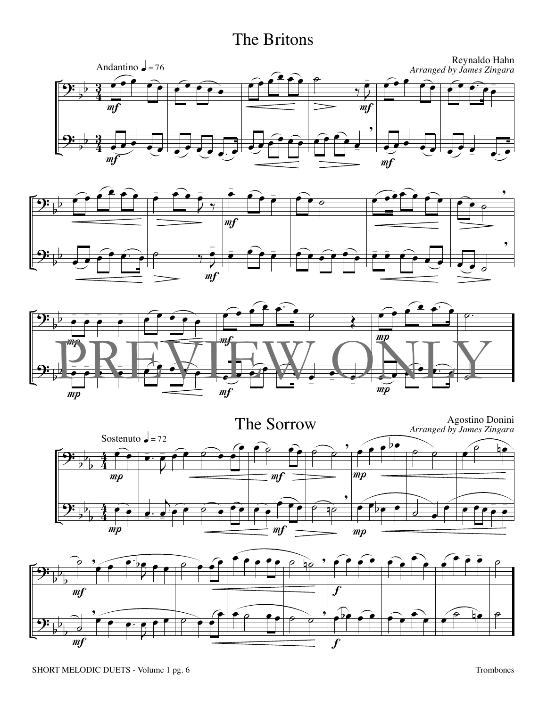## The Britons









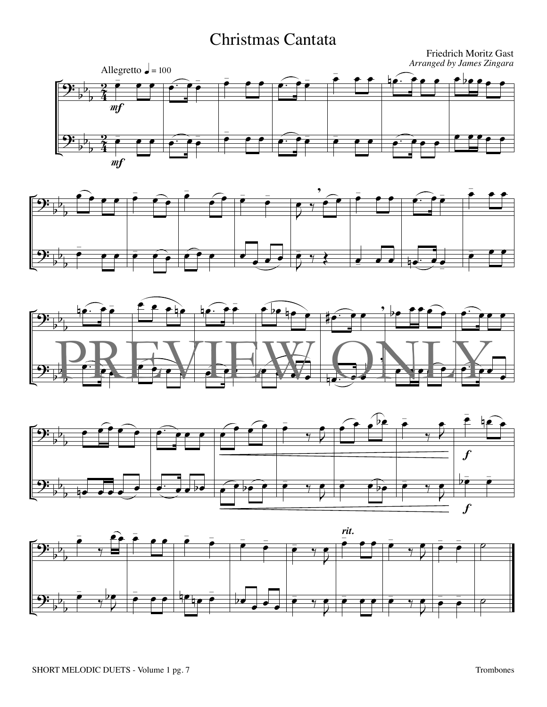## Christmas Cantata









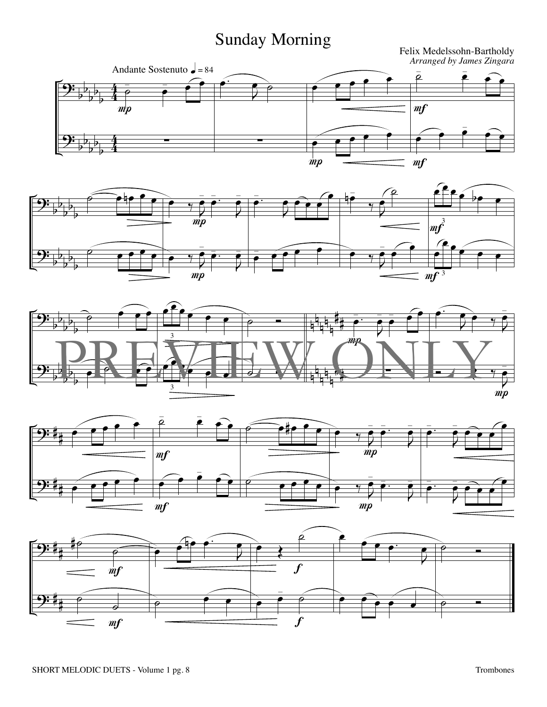## Sunday Morning









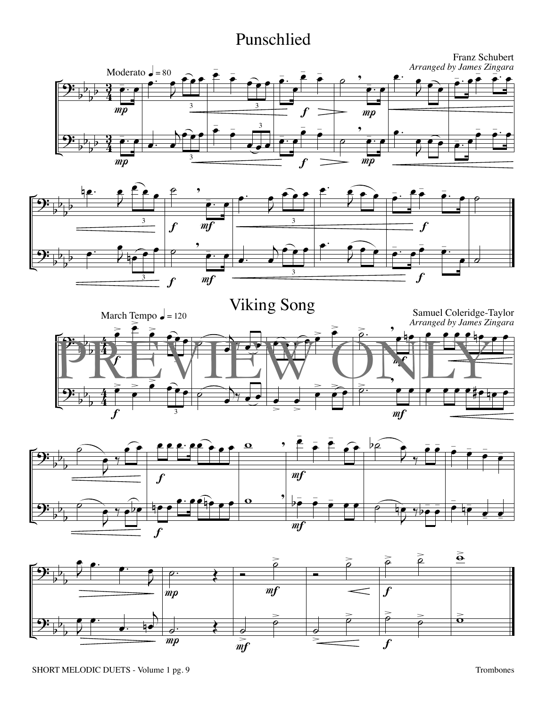## Punschlied









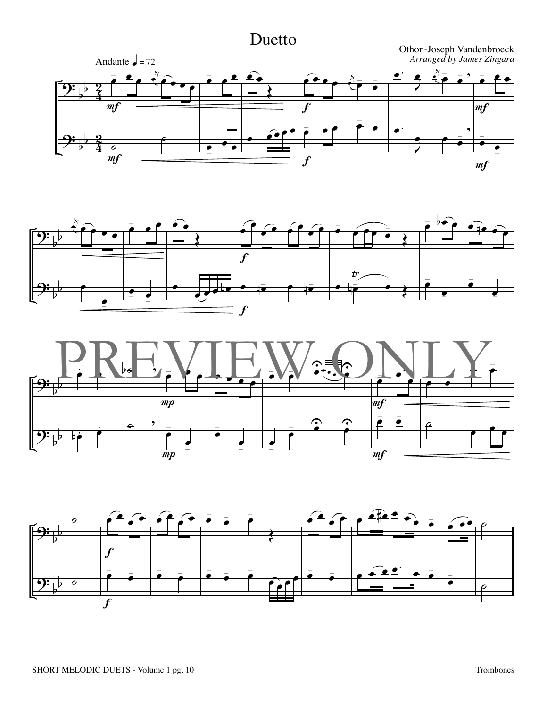## Duetto







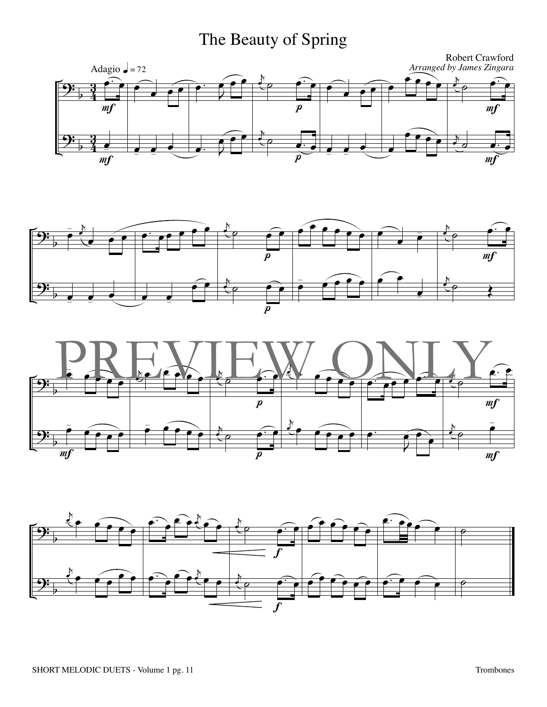## The Beauty of Spring







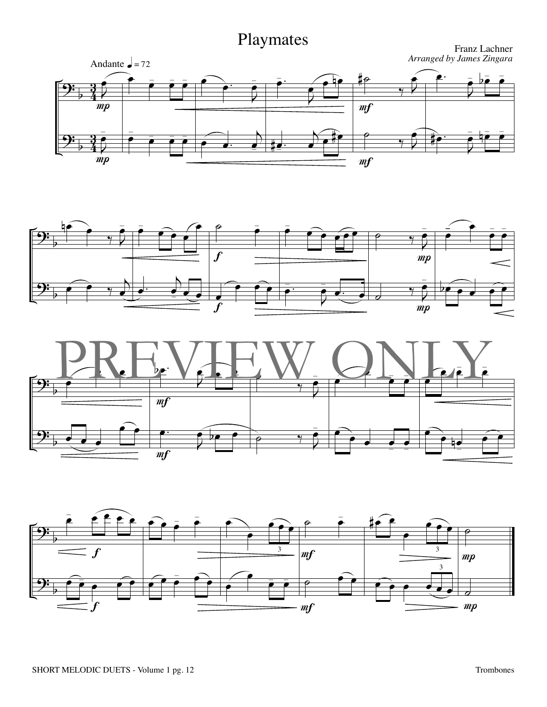





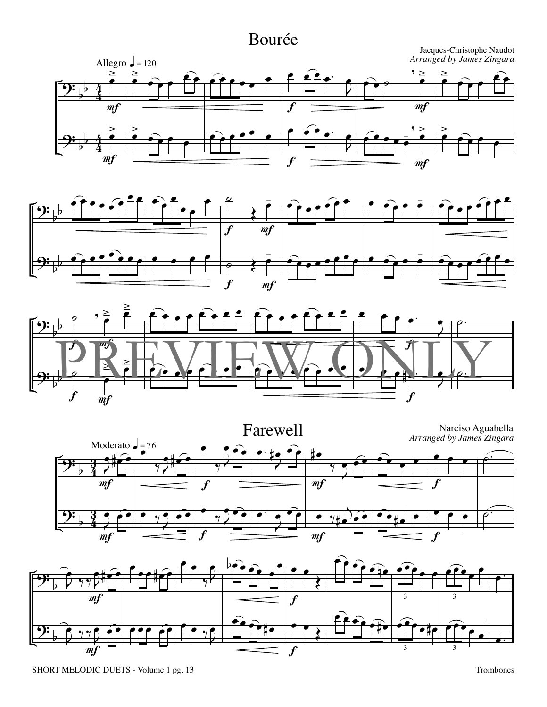## Bourée









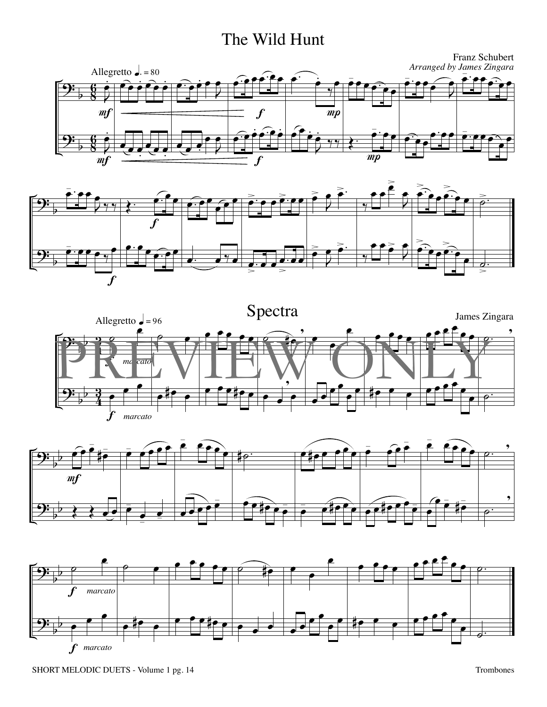## The Wild Hunt